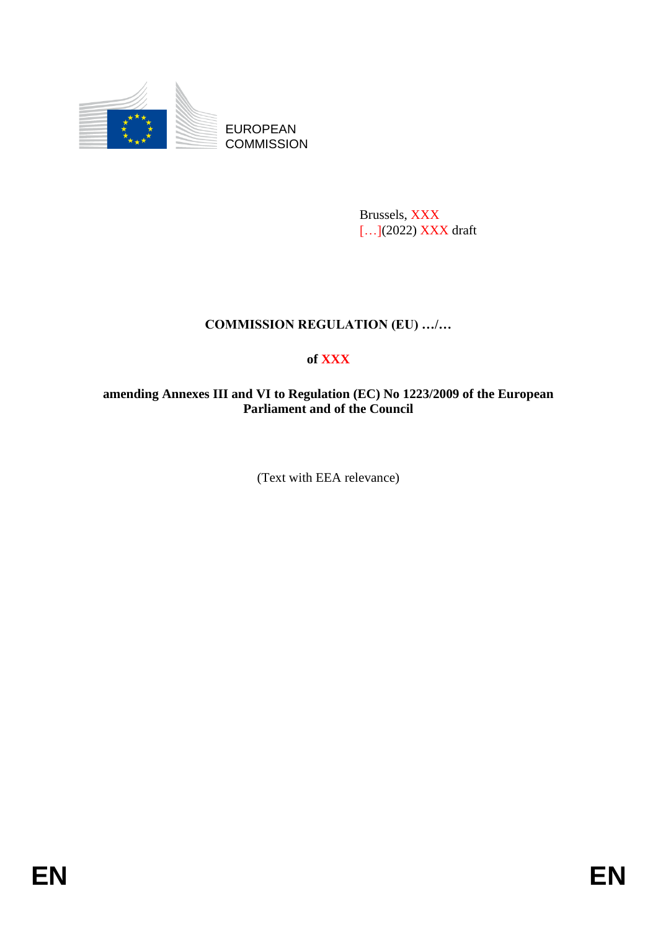

EUROPEAN **COMMISSION** 

> Brussels, XXX […](2022) XXX draft

# **COMMISSION REGULATION (EU) …/…**

## **of XXX**

## **amending Annexes III and VI to Regulation (EC) No 1223/2009 of the European Parliament and of the Council**

(Text with EEA relevance)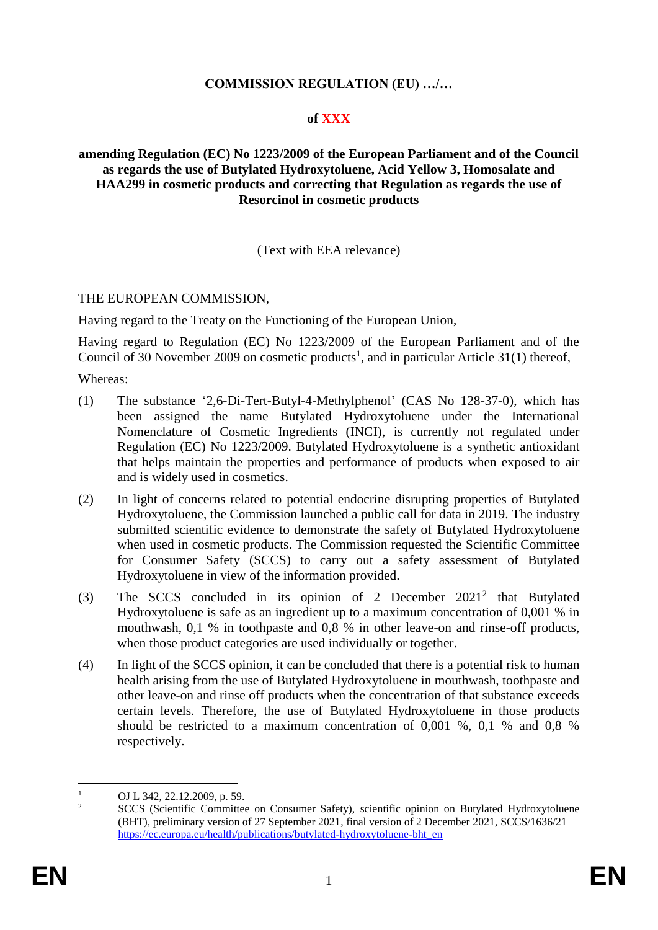## **COMMISSION REGULATION (EU) …/…**

#### **of XXX**

#### **amending Regulation (EC) No 1223/2009 of the European Parliament and of the Council as regards the use of Butylated Hydroxytoluene, Acid Yellow 3, Homosalate and HAA299 in cosmetic products and correcting that Regulation as regards the use of Resorcinol in cosmetic products**

(Text with EEA relevance)

## THE EUROPEAN COMMISSION,

Having regard to the Treaty on the Functioning of the European Union,

Having regard to Regulation (EC) No 1223/2009 of the European Parliament and of the Council of 30 November 2009 on cosmetic products<sup>1</sup>, and in particular Article 31(1) thereof,

Whereas:

- (1) The substance '2,6-Di-Tert-Butyl-4-Methylphenol' (CAS No 128-37-0), which has been assigned the name Butylated Hydroxytoluene under the International Nomenclature of Cosmetic Ingredients (INCI), is currently not regulated under Regulation (EC) No 1223/2009. Butylated Hydroxytoluene is a synthetic antioxidant that helps maintain the properties and performance of products when exposed to air and is widely used in cosmetics.
- (2) In light of concerns related to potential endocrine disrupting properties of Butylated Hydroxytoluene, the Commission launched a public call for data in 2019. The industry submitted scientific evidence to demonstrate the safety of Butylated Hydroxytoluene when used in cosmetic products. The Commission requested the Scientific Committee for Consumer Safety (SCCS) to carry out a safety assessment of Butylated Hydroxytoluene in view of the information provided.
- (3) The SCCS concluded in its opinion of 2 December 2021<sup>2</sup> that Butylated Hydroxytoluene is safe as an ingredient up to a maximum concentration of 0,001 % in mouthwash, 0,1 % in toothpaste and 0,8 % in other leave-on and rinse-off products, when those product categories are used individually or together.
- (4) In light of the SCCS opinion, it can be concluded that there is a potential risk to human health arising from the use of Butylated Hydroxytoluene in mouthwash, toothpaste and other leave-on and rinse off products when the concentration of that substance exceeds certain levels. Therefore, the use of Butylated Hydroxytoluene in those products should be restricted to a maximum concentration of 0,001 %, 0,1 % and 0,8 % respectively.

 $\mathbf{1}$  $\frac{1}{2}$  OJ L 342, 22.12.2009, p. 59.

<sup>2</sup> SCCS (Scientific Committee on Consumer Safety), scientific opinion on Butylated Hydroxytoluene (BHT), preliminary version of 27 September 2021, final version of 2 December 2021, SCCS/1636/21 [https://ec.europa.eu/health/publications/butylated-hydroxytoluene-bht\\_en](https://ec.europa.eu/health/publications/butylated-hydroxytoluene-bht_en)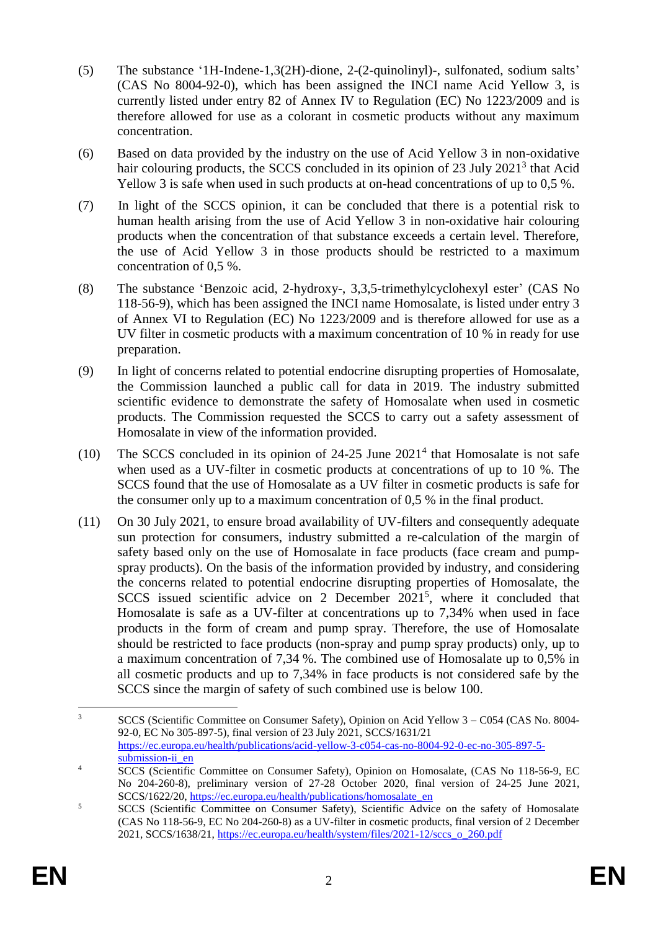- (5) The substance '1H-Indene-1,3(2H)-dione, 2-(2-quinolinyl)-, sulfonated, sodium salts' (CAS No 8004-92-0), which has been assigned the INCI name Acid Yellow 3, is currently listed under entry 82 of Annex IV to Regulation (EC) No 1223/2009 and is therefore allowed for use as a colorant in cosmetic products without any maximum concentration.
- (6) Based on data provided by the industry on the use of Acid Yellow 3 in non-oxidative hair colouring products, the SCCS concluded in its opinion of 23 July 2021<sup>3</sup> that Acid Yellow 3 is safe when used in such products at on-head concentrations of up to 0,5 %.
- (7) In light of the SCCS opinion, it can be concluded that there is a potential risk to human health arising from the use of Acid Yellow 3 in non-oxidative hair colouring products when the concentration of that substance exceeds a certain level. Therefore, the use of Acid Yellow 3 in those products should be restricted to a maximum concentration of 0,5 %.
- (8) The substance 'Benzoic acid, 2-hydroxy-, 3,3,5-trimethylcyclohexyl ester' (CAS No 118-56-9), which has been assigned the INCI name Homosalate, is listed under entry 3 of Annex VI to Regulation (EC) No 1223/2009 and is therefore allowed for use as a UV filter in cosmetic products with a maximum concentration of 10 % in ready for use preparation.
- (9) In light of concerns related to potential endocrine disrupting properties of Homosalate, the Commission launched a public call for data in 2019. The industry submitted scientific evidence to demonstrate the safety of Homosalate when used in cosmetic products. The Commission requested the SCCS to carry out a safety assessment of Homosalate in view of the information provided.
- (10) The SCCS concluded in its opinion of  $24-25$  June  $2021<sup>4</sup>$  that Homosalate is not safe when used as a UV-filter in cosmetic products at concentrations of up to 10 %. The SCCS found that the use of Homosalate as a UV filter in cosmetic products is safe for the consumer only up to a maximum concentration of 0,5 % in the final product.
- (11) On 30 July 2021, to ensure broad availability of UV-filters and consequently adequate sun protection for consumers, industry submitted a re-calculation of the margin of safety based only on the use of Homosalate in face products (face cream and pumpspray products). On the basis of the information provided by industry, and considering the concerns related to potential endocrine disrupting properties of Homosalate, the SCCS issued scientific advice on 2 December  $2021^5$ , where it concluded that Homosalate is safe as a UV-filter at concentrations up to 7,34% when used in face products in the form of cream and pump spray. Therefore, the use of Homosalate should be restricted to face products (non-spray and pump spray products) only, up to a maximum concentration of 7,34 %. The combined use of Homosalate up to 0,5% in all cosmetic products and up to 7,34% in face products is not considered safe by the SCCS since the margin of safety of such combined use is below 100.

 $\overline{3}$ <sup>3</sup> SCCS (Scientific Committee on Consumer Safety), Opinion on Acid Yellow 3 – C054 (CAS No. 8004- 92-0, EC No 305-897-5), final version of 23 July 2021, SCCS/1631/21 [https://ec.europa.eu/health/publications/acid-yellow-3-c054-cas-no-8004-92-0-ec-no-305-897-5](https://ec.europa.eu/health/publications/acid-yellow-3-c054-cas-no-8004-92-0-ec-no-305-897-5-submission-ii_en) submission-ii en

<sup>&</sup>lt;sup>4</sup> SCCS (Scientific Committee on Consumer Safety), Opinion on Homosalate, (CAS No 118-56-9, EC No 204-260-8), preliminary version of 27-28 October 2020, final version of 24-25 June 2021, SCCS/1622/20, [https://ec.europa.eu/health/publications/homosalate\\_en](https://ec.europa.eu/health/publications/homosalate_en)

<sup>&</sup>lt;sup>5</sup> SCCS (Scientific Committee on Consumer Safety), Scientific Advice on the safety of Homosalate (CAS No 118-56-9, EC No 204-260-8) as a UV-filter in cosmetic products, final version of 2 December 2021, SCCS/1638/21, [https://ec.europa.eu/health/system/files/2021-12/sccs\\_o\\_260.pdf](https://ec.europa.eu/health/system/files/2021-12/sccs_o_260.pdf)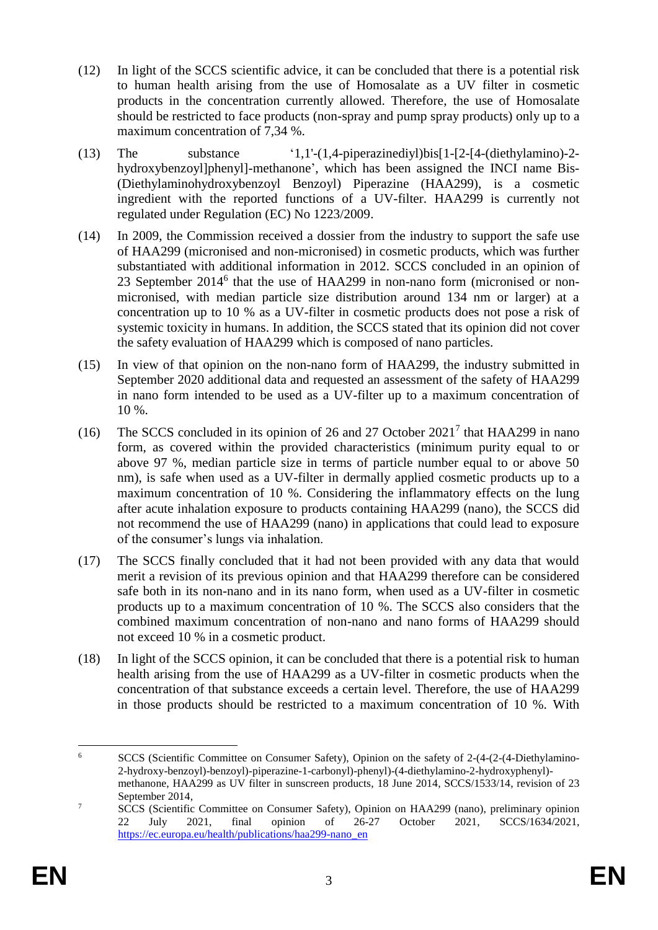- (12) In light of the SCCS scientific advice, it can be concluded that there is a potential risk to human health arising from the use of Homosalate as a UV filter in cosmetic products in the concentration currently allowed. Therefore, the use of Homosalate should be restricted to face products (non-spray and pump spray products) only up to a maximum concentration of 7,34 %.
- (13) The substance '1,1'-(1,4-piperazinediyl)bis[1-[2-[4-(diethylamino)-2 hydroxybenzoyl]phenyl]-methanone', which has been assigned the INCI name Bis- (Diethylaminohydroxybenzoyl Benzoyl) Piperazine (HAA299), is a cosmetic ingredient with the reported functions of a UV-filter. HAA299 is currently not regulated under Regulation (EC) No 1223/2009.
- (14) In 2009, the Commission received a dossier from the industry to support the safe use of HAA299 (micronised and non-micronised) in cosmetic products, which was further substantiated with additional information in 2012. SCCS concluded in an opinion of 23 September 2014<sup>6</sup> that the use of HAA299 in non-nano form (micronised or nonmicronised, with median particle size distribution around 134 nm or larger) at a concentration up to 10 % as a UV-filter in cosmetic products does not pose a risk of systemic toxicity in humans. In addition, the SCCS stated that its opinion did not cover the safety evaluation of HAA299 which is composed of nano particles.
- (15) In view of that opinion on the non-nano form of HAA299, the industry submitted in September 2020 additional data and requested an assessment of the safety of HAA299 in nano form intended to be used as a UV-filter up to a maximum concentration of 10 %.
- (16) The SCCS concluded in its opinion of 26 and 27 October 2021<sup>7</sup> that HAA299 in nano form, as covered within the provided characteristics (minimum purity equal to or above 97 %, median particle size in terms of particle number equal to or above 50 nm), is safe when used as a UV-filter in dermally applied cosmetic products up to a maximum concentration of 10 %. Considering the inflammatory effects on the lung after acute inhalation exposure to products containing HAA299 (nano), the SCCS did not recommend the use of HAA299 (nano) in applications that could lead to exposure of the consumer's lungs via inhalation.
- (17) The SCCS finally concluded that it had not been provided with any data that would merit a revision of its previous opinion and that HAA299 therefore can be considered safe both in its non-nano and in its nano form, when used as a UV-filter in cosmetic products up to a maximum concentration of 10 %. The SCCS also considers that the combined maximum concentration of non-nano and nano forms of HAA299 should not exceed 10 % in a cosmetic product.
- (18) In light of the SCCS opinion, it can be concluded that there is a potential risk to human health arising from the use of HAA299 as a UV-filter in cosmetic products when the concentration of that substance exceeds a certain level. Therefore, the use of HAA299 in those products should be restricted to a maximum concentration of 10 %. With

 $6\overline{6}$ <sup>6</sup> SCCS (Scientific Committee on Consumer Safety), Opinion on the safety of 2-(4-(2-(4-Diethylamino-2-hydroxy-benzoyl)-benzoyl)-piperazine-1-carbonyl)-phenyl)-(4-diethylamino-2-hydroxyphenyl) methanone, HAA299 as UV filter in sunscreen products, 18 June 2014, SCCS/1533/14, revision of 23 September 2014,

<sup>&</sup>lt;sup>7</sup> SCCS (Scientific Committee on Consumer Safety), Opinion on HAA299 (nano), preliminary opinion 22 July 2021, final opinion of 26-27 October 2021, SCCS/1634/2021, [https://ec.europa.eu/health/publications/haa299-nano\\_en](https://ec.europa.eu/health/publications/haa299-nano_en)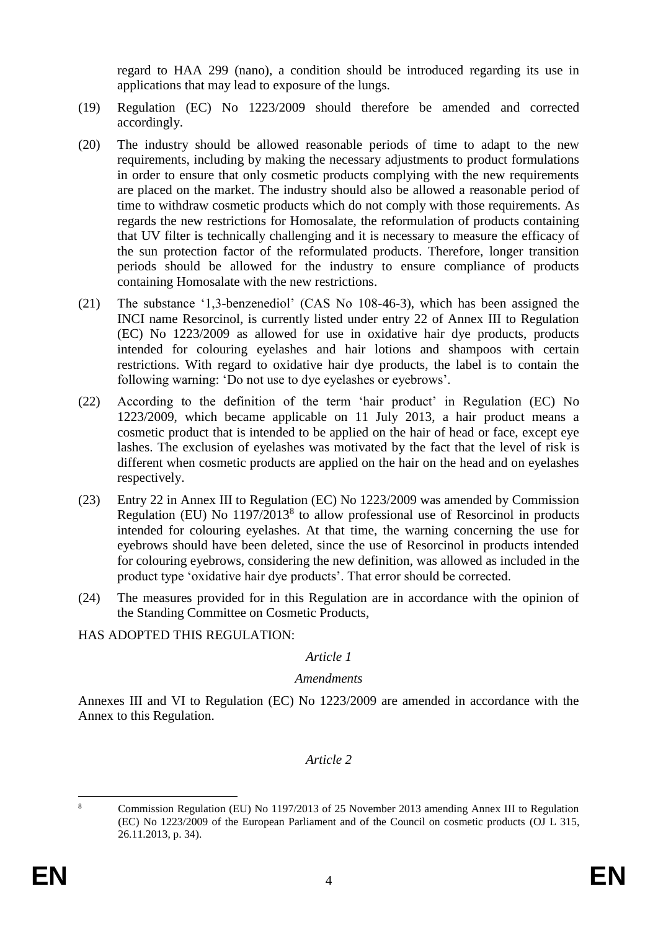regard to HAA 299 (nano), a condition should be introduced regarding its use in applications that may lead to exposure of the lungs.

- (19) Regulation (EC) No 1223/2009 should therefore be amended and corrected accordingly.
- (20) The industry should be allowed reasonable periods of time to adapt to the new requirements, including by making the necessary adjustments to product formulations in order to ensure that only cosmetic products complying with the new requirements are placed on the market. The industry should also be allowed a reasonable period of time to withdraw cosmetic products which do not comply with those requirements. As regards the new restrictions for Homosalate, the reformulation of products containing that UV filter is technically challenging and it is necessary to measure the efficacy of the sun protection factor of the reformulated products. Therefore, longer transition periods should be allowed for the industry to ensure compliance of products containing Homosalate with the new restrictions.
- (21) The substance '1,3-benzenediol' (CAS No 108-46-3), which has been assigned the INCI name Resorcinol, is currently listed under entry 22 of Annex III to Regulation (EC) No 1223/2009 as allowed for use in oxidative hair dye products, products intended for colouring eyelashes and hair lotions and shampoos with certain restrictions. With regard to oxidative hair dye products, the label is to contain the following warning: 'Do not use to dye eyelashes or eyebrows'.
- (22) According to the definition of the term 'hair product' in Regulation (EC) No 1223/2009, which became applicable on 11 July 2013, a hair product means a cosmetic product that is intended to be applied on the hair of head or face, except eye lashes. The exclusion of eyelashes was motivated by the fact that the level of risk is different when cosmetic products are applied on the hair on the head and on eyelashes respectively.
- (23) Entry 22 in Annex III to Regulation (EC) No 1223/2009 was amended by Commission Regulation (EU) No  $1197/2013<sup>8</sup>$  to allow professional use of Resorcinol in products intended for colouring eyelashes. At that time, the warning concerning the use for eyebrows should have been deleted, since the use of Resorcinol in products intended for colouring eyebrows, considering the new definition, was allowed as included in the product type 'oxidative hair dye products'. That error should be corrected.
- (24) The measures provided for in this Regulation are in accordance with the opinion of the Standing Committee on Cosmetic Products,
- HAS ADOPTED THIS REGULATION:

#### *Article 1*

#### *Amendments*

Annexes III and VI to Regulation (EC) No 1223/2009 are amended in accordance with the Annex to this Regulation.

#### *Article 2*

1

<sup>8</sup> Commission Regulation (EU) No 1197/2013 of 25 November 2013 amending Annex III to Regulation (EC) No 1223/2009 of the European Parliament and of the Council on cosmetic products (OJ L 315, 26.11.2013, p. 34).